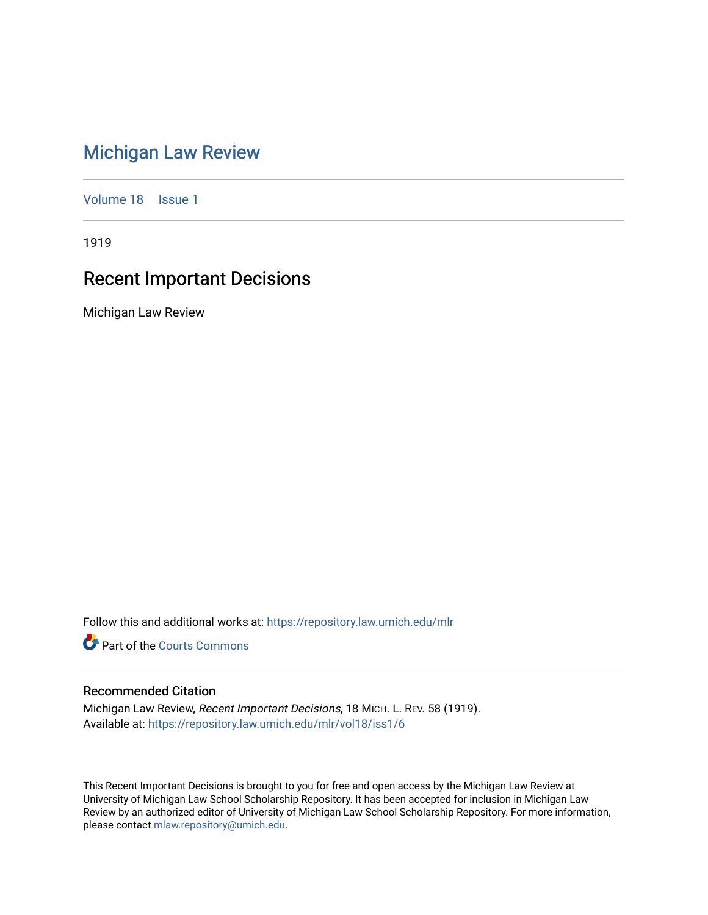# [Michigan Law Review](https://repository.law.umich.edu/mlr)

[Volume 18](https://repository.law.umich.edu/mlr/vol18) | [Issue 1](https://repository.law.umich.edu/mlr/vol18/iss1)

1919

# Recent Important Decisions

Michigan Law Review

Follow this and additional works at: [https://repository.law.umich.edu/mlr](https://repository.law.umich.edu/mlr?utm_source=repository.law.umich.edu%2Fmlr%2Fvol18%2Fiss1%2F6&utm_medium=PDF&utm_campaign=PDFCoverPages) 

**Part of the Courts Commons** 

## Recommended Citation

Michigan Law Review, Recent Important Decisions, 18 MICH. L. REV. 58 (1919). Available at: [https://repository.law.umich.edu/mlr/vol18/iss1/6](https://repository.law.umich.edu/mlr/vol18/iss1/6?utm_source=repository.law.umich.edu%2Fmlr%2Fvol18%2Fiss1%2F6&utm_medium=PDF&utm_campaign=PDFCoverPages)

This Recent Important Decisions is brought to you for free and open access by the Michigan Law Review at University of Michigan Law School Scholarship Repository. It has been accepted for inclusion in Michigan Law Review by an authorized editor of University of Michigan Law School Scholarship Repository. For more information, please contact [mlaw.repository@umich.edu.](mailto:mlaw.repository@umich.edu)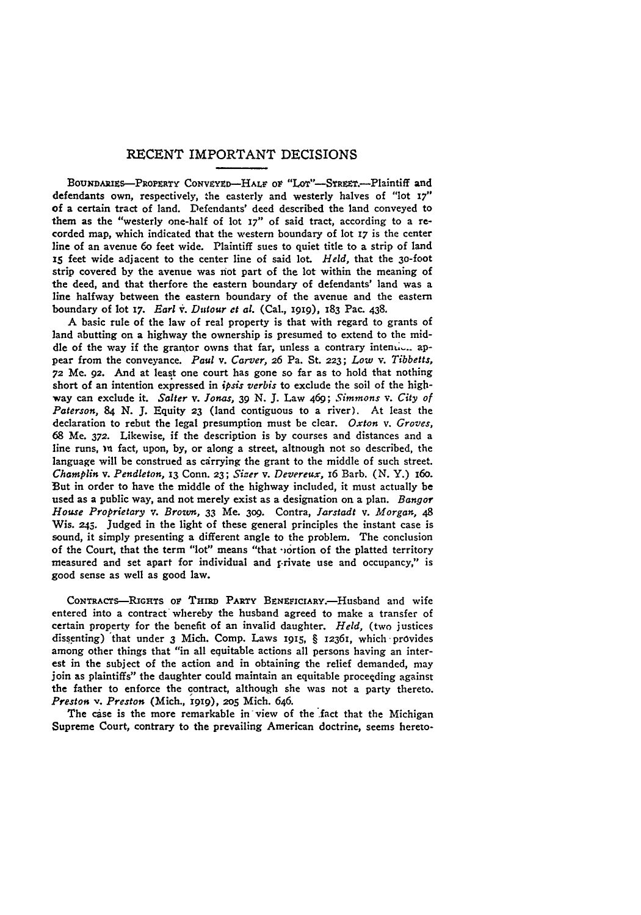### RECENT IMPORTANT DECISIONS

BOUNDARIES-PROPERTY CONVEYED-HALF OF "LOT"-STREET.--Plaintiff and defendants own, respectively, the easterly and westerly halves of "lot **17" of** a certain tract of land. Defendants' deed described the land conveyed to them as the "westerly one-half of lot **17"** of said tract, according to a recorded map, which indicated that the western boundary of lot **17** is the center line of an avenue 6o feet wide. Plaintiff sues to quiet title to a strip of land **i5** feet wide adjacent to the center line of said lot. *Held,* that the 3o-foot strip covered **by** the avenue was not part **of** the lot within the meaning of the deed, and that therfore the eastern boundary of defendants' land was a line halfway between the eastern boundary of the avenue and the eastern boundary of lot **x.** *Earl v. Dutour* et *at.* (Cal., **i919), 183** Pac. 438.

**A** basic rule of the law of real property is that with regard to grants of land abutting on a highway the ownership is presumed to extend to the middle of the way if the grantor owns that far, unless a contrary intenuio... appear from the conveyance. *Paul v. Carver,* **26** Pa. St. **223;** *Low* v. *Tibbetts,* **72 Me. 92.** And at least one court has gone so far as to hold that nothing short of an intention expressed in *ipsis verbis* to exclude the soil of the highway can exclude it. *Salter v. Jonas,* 39 N. J. Law 469; *Simmons v. City of Paterson,* 84 N. J. Equity **23** (land contiguous to a river). At least the declaration to rebut the legal presumption must be clear. *Oxton v. Groves,* 68 Me. **372.** Likewise, if the description is **by** courses and distances and a line runs, )n fact, upon, by, or along a street, altnough not so described, the language will be construed as carrying the grant to the middle of such street. *Champlin v. Pendleton,* **13** Conn. **23;** *Sizer v. Devereux,* 16 Barb. (N. Y.) i6o. But in order to have the middle of the highway included, it must actually be used as a public way, and not merely exist as a designation on a plan. *Bangor House Proprietary v. Brown,* 33 Me. **309.** Contra, *Jarstadt v. Morgan, 48* Wis. 245. Judged in the light of these general principles the instant case is sound, it simply presenting a different angle to the problem. The conclusion of the Court, that the term "lot" means "that Jiortion of the platted territory measured and set apart for individual and private use and occupancy," is good sense as well as good law.

CONTRACTS-RIGHTS op **THIRD PARTY** BgNzFirCARY-Husband and wife entered into a contract whereby the husband agreed to make a transfer of certain property for the benefit of an invalid daughter. *Held,* (two justices dissenting) that under 3 Mich. Comp. Laws 1915, § **12361,** which provides among other things that "in all equitable actions all persons having an interest in the subject of the action and in obtaining the relief demanded, may join as plaintiffs" the daughter could maintain an equitable proceeding against the father to enforce the contract, although she was not a party thereto. *Preston v. Preston* (Mich., **1919), 2o5** Mich. 646.

The case is the more remarkable in view of the fact that the Michigan Supreme Court, contrary to the prevailing American doctrine, seems hereto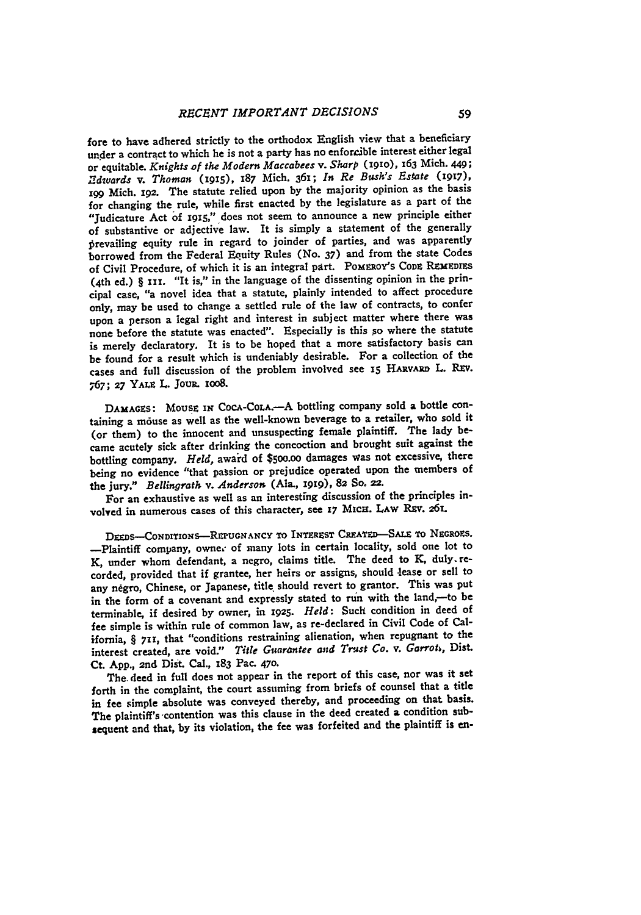fore to have adhered strictly to the orthodox English view that a beneficiary under a contract to which he is not a party has no enforcible interest either legal or equitable. *Knights of the Modern Maccabees v. Sharp* **(** ipo), 163 Mich. **449;** *Ediuards v. Thornan* **(i915),** 187 Mich. 361; *In Re Bush's Estate (1917),* **<sup>199</sup>**Mich. **192.** The statute relied upon **by** the majority opinion as the basis for changing the rule, while first enacted **by** the legislature as a part of the "Judicature Act **of 1915,"** does not seem to announce a new principle either of substantive or adjective law. It is simply a statement of the generally prevailing equity rule in regard to joinder of parties, and was apparently borrowed from the Federal Equity Rules (No. **37)** and from the state Codes of Civil Procedure, of which it is an integral part. PoMERoY's **COMe RZMEDIEs** (4th ed.) § III. "It is," in the language of the dissenting opinion in the principal case, "a novel idea that a statute, plainly intended to affect procedure only, may be used to change a settled rule of the law of contracts, to confer upon a person a legal right and interest in subject matter where there was none before the statute was enacted". Especially is this so where the statute is merely declaratory. It is to be hoped that a more satisfactory basis can be found for a result which is undeniably desirable. For a collection of the cases and full discussion of the problem involved see **I5 HARVARD** L. Rrv. **,67; 27** YALE L. Joup- ioo8.

DAMAGES: MOUSE IN COCA-COLA.-A bottling company sold a bottle containing a mouse as well as the well-known beverage to a retailer, who sold it (or them) to the innocent and unsuspecting female plaintiff. The lady became acutely sick after drinking the concoction and brought suit against the bottling company. *Held,* award of \$5oo.oo damages was not excessive, there being no evidence "that passion or prejudice operated upon the members of the jury." *Bellingrath v. Anderson* (Ala., **i919), 82** So. **22.**

For an exhaustive as well as an interesting discussion of the principles involved in numerous cases of this character, see 17 Micn. LAw **Rav. 26L**

DEEDS-CONDITIONS-REPUGNANCY TO INTEREST CREATED-SALE TO NEGROES. -Plaintiff company, owner of many lots in certain locality, sold one lot to K, under whom defendant, a negro, claims title. The deed to **K,** duly. recorded, provided that if grantee, her heirs or assigns, should lease or sell to any negro, Chinese, or Japanese, title should revert to grantor. This was put in the form of a covenant and expressly stated to run with the land,-to be terminable, if desired **by** owner, in **1925.** *Held:* Such condition in deed of fee simple is within rule of common law, as re-declared in Civil Code of California, § **711,** that "conditions restraining alienation, when repugnant to the interest created, are void." *Title Guarantee and Trust Co. v. Garrot,* Dist. Ct. **App.,** 2nd Dist. Cal., 183 Pac. **470.**

The. deed in full does not appear in the report of this case, nor was it set forth in the complaint, the court assuming from briefs of counsel that a title in fee simple absolute was conveyed thereby, and proceeding on that basis. The plaintiff's contention was this clause in the deed created a condition subsequent and that, **by** its violation, the fee was forfeited and the plaintiff is en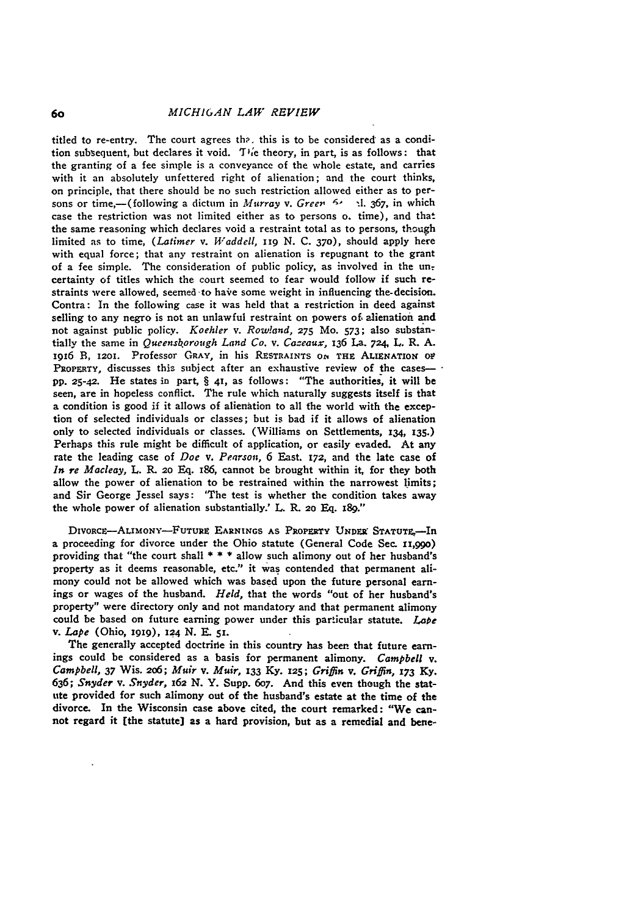titled to re-entry. The court agrees th?. this is to be considered as a condition subsequent, but declares it void. The theory, in part, is as follows: that the granting of a fee simple is a conveyance of the whole estate, and carries with it an absolutely unfettered right of alienation; and the court thinks, on principle, that there should be no such restriction allowed either as to persons or time,-(following a dictum in *Murray v. Greer 6" -l.* 367, in which case the restriction was not limited either as to persons o. time), and that the same reasoning which declares void a restraint total as to persons, though limited as to time, (Latimer *v. Waddell, iig* N. C. **370),** should apply here with equal force; that any restraint on alienation is repugnant to the grant of a fee simple. The consideration of public policy, as involved in the  $un_{\tau}$ certainty of titles which the court seemed to fear would follow if such restraints were allowed, seemed to have some weight in influencing the-decision. Contra: In the following case it was held that a restriction in deed against selling to any negro is not an unlawful restraint on powers of alienation and not against public policy. *Koehler v. Rowland,* **275** Mo. 573; also substantially the same in *Queenstorough Land Co. v. Cazeaux,* **136** La. **724,** L. R. A. 1916 B, **1201.** Professor GRAY, in his RESTaRAINTS **Or THE ALIENATION OF** PROPERTY, discusses this subject after an exhaustive review of the cases**pp. 25-42.** He states in part, § **41,** as follows: "The authorities, **it** will be seen, are in hopeless conflict. The rule which naturally suggests itself is that a condition is good if it allows of alienation to all the world with the exception of selected individuals or classes; but is bad if it allows of alienation only to selected individuals or classes. (Williams on Settlements, 134, **135.)** Perhaps this rule might be difficult of application, or easily evaded. At any rate the leading case of *Doe v. Pearon,* 6 East. **172,** and the late case of *In re Macleay,* L. R. **20 Eq.** 186, cannot be brought within it, for they both allow the power of alienation to be restrained within the narrowest limits; and Sir George Jessel says: 'The test is whether the condition takes away the whole power of alienation substantially.' L. R. **20 Eq.** i8g."

DivoRc-ALrMONY-FUTURa **EARNINGS AS** PROPERTY **UNDER** STATUTe,-In a proceeding for divorce under the Ohio statute (General Code Sec. **z1,990)** providing that "the court shall  $***$  allow such alimony out of her husband's property as it deems reasonable, etc." it was contended that permanent alimony could not be allowed which was based upon the future personal earnings or wages of the husband. *Held,* that the words "out of her husband's property" were directory only and not mandatory and that permanent alimony could be based on future earning power under this particular statute. *Laie* v. *Lape* (Ohio, **i919),** *124* **N. F\_ 51.**

The generally accepted doctrine in this country has been that future earnings could be considered as a basis for permanent alimony. *Campbell v. Campbell,* 37 Wis. *2o6; Muir v. Muir,* **133 Ky. 125;** *Griffin v. Griffin,* **173 Ky. 636;** *Snyder v. Snyder, 162* **N.** Y. Supp. **607.** And this even though the statute provided for such alimony out of the husband's estate at the time of the divorce. In the Wisconsin case above cited, the court remarked: "We cannot regard it [the statute] as a hard provision, but as a remedial and bene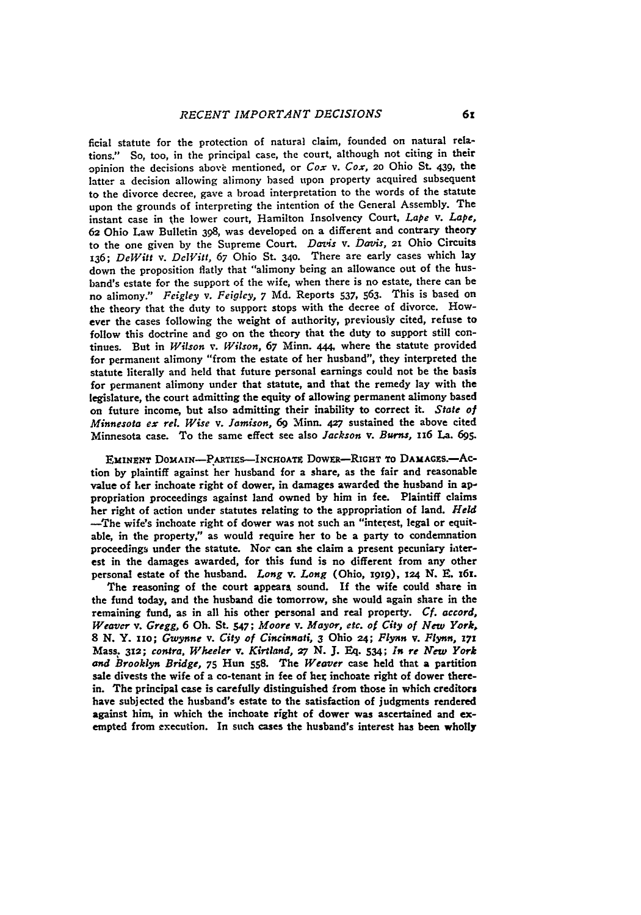ficial statute for the protection of natural claim, founded on natural relations." So, too, in the principal case, the court, although not citing in their opinion the decisions above mentioned, or *Cox v. Cox, 2*0 Ohio St. 439, the latter a decision allowing alimony based upon property acquired subsequent to the divorce decree, gave a broad interpretation to the words of the statute upon the grounds of interpreting the intention of the General Assembly. The instant case in he lower court, Hamilton Insolvency Court, *Lape v. Lape,* 62 Ohio Law Bulletin 398, was developed on a different and contrary theory to the one given by the Supreme Court. *Dazis v. Davis,* **21** Ohio Circuits 136; *DeWitt v. DeWitt,* 67 Ohio St. 34o. There are early cases which lay down the proposition flatly that "alimony being an allowance out of the husband's estate for the support of the wife, when there is no estate, there can be no alimony." *Feigley v. Feiglcy, 7* Md. Reports 537, 563. This is based on the theory that the duty to support stops with the decree of divorce. However the cases following the weight of authority, previously cited, refuse to follow this doctrine and go on the theory that the duty to support still continues. But in *Wilson v. Wilson,* **67** Minn. 444, where the statute provided for permanent alimony "from the estate of her husband", they interpreted the statute literally and held that future personal earnings could not be the basis for permanent alimony under that statute, and that the remedy lay with the legislature, the court admitting the equity of allowing permanent alimony based on future income, but also admitting their inability to correct it. *State of Minnesota ex rel. Wise v. Jamison, 69* Minn. *427* sustained the above cited Minnesota case. To the same effect see also *Jackson v. Burns,* i6 La. **695.**

EMINENT DOMAIN-PARTIES-INCHOATE DOWER-RIGHT TO DAMAGES.-ACtion **by** plaintiff against her husband for a share, as the fair and reasonable value of her inchoate right of dower, in damages awarded the husband in appropriation proceedings against land owned **by** him in fee. Plaintiff claims her right of action under statutes relating to the appropriation of land. *Held* -The wife's inchoate right of dower was not such an "interest, legal or equitable, in the property," as would require her to be a party to condemnation proceedings under the statute. Nor can she claim a present pecuniary interest in the damages awarded, for this fund is no different from any other personal estate of the husband. *Long v. Long* (Ohio, gig), **124 N. E.** 161.

The reasoning of the court appears sound. If the wife could share in the fund today, and the husband die tomorrow, she would again share in the remaining fund, as in all his other personal and real property. *Cf. accord, Weaver v. Gregg,* 6 Oh. St. 547; *Moore v. Mayor, etc. of City of New York,* **8 N.** Y. **xio;** *Gwynne v. City of Cincinnati, 3* Ohio **24;** *Flynn v. Flynn, 171* Mass. **312;** *contra, Wheeler v. Kirtland, 27* **N. J. Eq. 534;** *In re New York and Brooklyn Bridge,* **75** Hun **558.** The *Weaver* case held that a partition sale divests the wife of a co-tenant in fee of her inchoate right of dower therein. The principal case is carefully distinguished from those in which creditors have subjected the husband's estate to the satisfaction of judgments rendered against him, in which the inchoate right of dower was ascertained and exempted from execution. In such cases the husband's interest has been wholly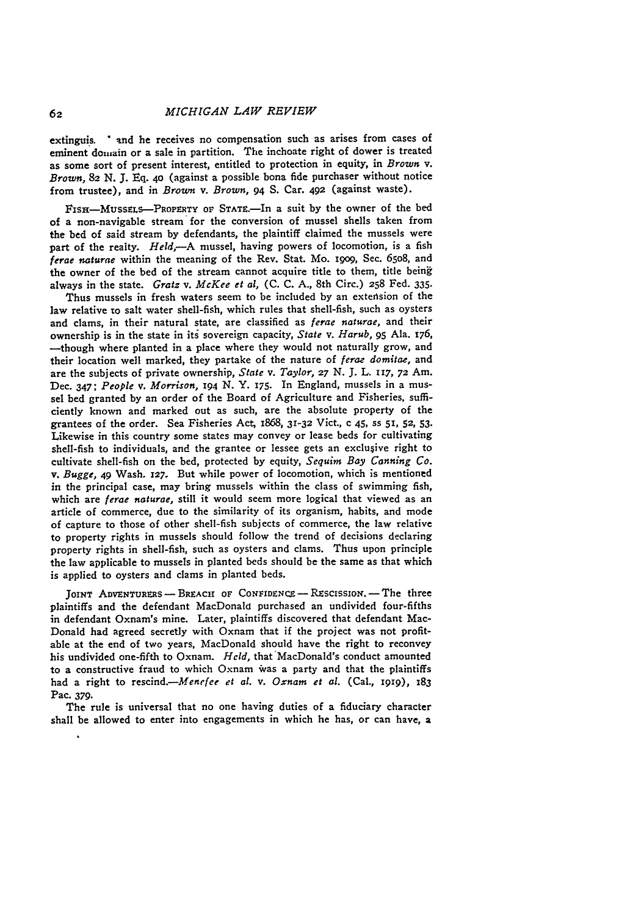extinguis. <sup>\*</sup> and he receives no compensation such as arises from cases of eminent domain or a sale in partition. The inchoate right of dower is treated as some sort of present interest, entitled to protection in equity, in *Brown* v. *Brown,* **82** N. J. **Eq. 40** (against a possible bona fide purchaser without notice from trustee), and in *Brown v. Brown,* 94 S. Car. **492** (against waste).

FISH-MUSSELS-PROPERTY OF STATE.-In a suit by the owner of the bed of a non-navigable stream for the conversion of mussel shells taken from the bed of said stream by defendants, the plaintiff claimed the mussels were part of the realty. *Held*,—A mussel, having powers of locomotion, is a fish *ferae naturne* within the meaning of the Rev. Stat. Mo. igog, Sec. 65o8, and the owner of the bed of the stream cannot acquire title to them, title being always in the state. *Gratz v. McKee et al,* (C. C. **A.,** 8th Circ.) **258** Fed. 335.

Thus mussels in fresh waters seem to be included by an extension of the law relative to salt water shell-fish, which rules that shell-fish, such as oysters and clams, in their natural state, are classified as *ferae naturae,* and their ownership is in the state in iti sovereign capacity, *State v. Harub,* 95 Ala. **176,** -though where planted in a place where they would not naturally grow, and their location well marked, they partake of the nature of *ferae domitae,* and are the subjects of private ownership, *State v. Taylor, 27* N. J. L. **117, 72** Am. Dec. 347: *People v. Morrison,* **194** N. Y. I75. In England, mussels in a mussel bed granted by an order of the Board of Agriculture and Fisheries, sufficiently known and marked out as such, are the absolute property of the grantees of the order. Sea Fisheries Act, x868, 31-32 Vict., c 45, ss **51, 52,** 53. Likewise in this country some states may convey or lease beds for cultivating shell-fish to individuals, and the grantee or lessee gets an exclusive right to cultivate shell-fish on the bed, protected by equity, *Sequim Bay Canning Co. v. Bugge,* **49** Wash. 127. But while power of locomotion, which is mentioned in the principal case, may bring mussels within the class of swimming fish, which are *ferae naturae,* still it would seem more logical that viewed as an article of commerce, due to the similarity of its organism, habits, and mode of capture to those of other shell-fish subjects of commerce, the law relative to property rights in mussels should follow the trend of decisions declaring property rights in shell-fish, such as oysters and clams. Thus upon principle the law applicable to mussels in planted beds should be the same as that which is applied to oysters and clams in planted beds.

JOINT ADVENTURERS - BREACH OF CONFIDENCE - RESCISSION. - The three plaintiffs and the defendant MacDonald purchased an undivided four-fifths in defendant Oxnam's mine. Later, plaintiffs discovered that defendant Mac-Donald had agreed secretly with Oxnam that if the project was not profitable at the end of two years, MacDonald should have the right to reconvey his undivided one-fifth to Oxnam. *Hcld,* that MacDonald's conduct amounted to a constructive fraud to which Oxnam was a party and that the plaintiffs had a right to rescind.-Menefee et al. v. Oxnam et al. (Cal., 1919), 183 Pac. 379.

The rule is universal that no one having duties of a fiduciary character shall be allowed to enter into engagements in which he has, or can have, a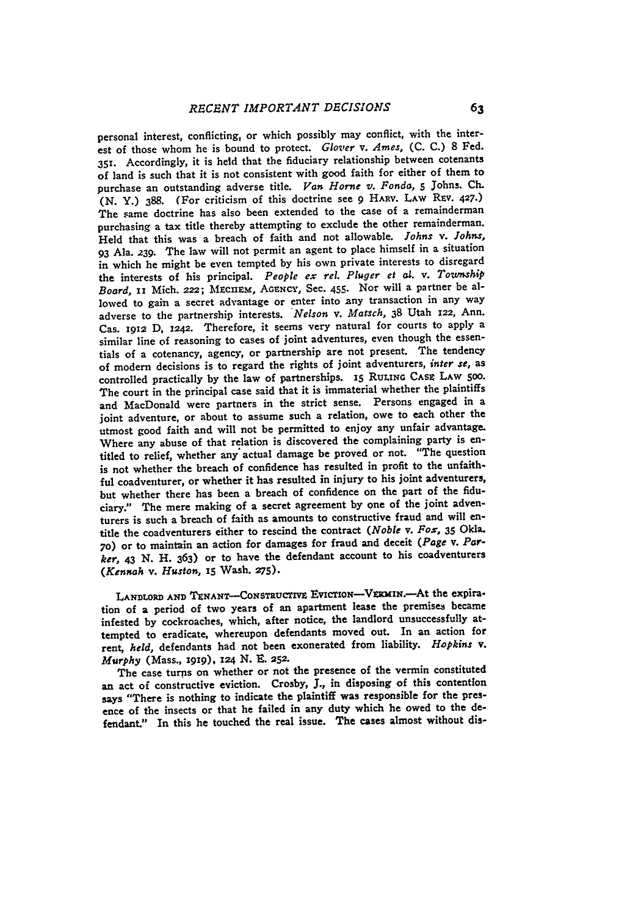personal interest, conflicting, or which possibly may conflict, with the interest of those whom he is bound to protect. *Glover v. Ames,* (C. C.) 8 Fed. **351.** Accordingly, it is held that the fiduciary relationship between cotenants of land is such that it is not consistent with good faith for either of them to purchase an outstanding adverse title. *Van Home v. Fonda,* **5** Johns. **CI.** (N. Y.) **388.** (For criticism of this doctrine see **9** HARv. LAw Rzv. **427.)** The same doctrine has also been extended to the case of a remainderman purchasing a tax title thereby attempting to exclude the other remainderman. Held that this was a breach of faith and not allowable. *Johns v. John.s,* **<sup>93</sup>**Ala. **239.** The law will not permit an agent to place himself in a situation in which he might be even tempted by his own private interests to disregard the interests of his principal. *People ex rel. Pluger et al.* v. *Toumship* Board, II Mich. 222; MECHEM, AGENCY, Sec. 455. Nor will a partner be allowed to gain a secret advantage or enter into any transaction in any way adverse to the partnership interests. *Nelson v. Matsch,* **38** Utah **122,** Ann. Cas. **1912 D, 1242.** Therefore, it seems very natural for courts to apply a similar line of reasoning to cases of joint adventures, even though the essentials of a cotenancy, agency, or partnership are not present. The tendency of modern decisions is to regard the rights of joint adventurers, *inter se,* as controlled practically **by** the law of partnerships. 15 RULING CAsx **LAW 500.** The court in the principal case said that it is immaterial whether the plaintiffs and MacDonald were partners in the strict sense. Persons engaged in a joint adventure, or about to assume such a relation, owe to each other the utmost good faith and will not be permitted to enjoy any unfair advantage. Where any abuse of that relation is discovered the complaining party is entitled to relief, whether any actual damage be proved or not. "The question is not whether the breach of confidence has resulted in profit to the unfaithful coadventurer, or whether it has resulted in injury to his joint adventurers, but whether there has been a breach of confidence on the part of the fiduciary." The mere making of a secret agreement by one of the joint adventurers is such a breach of faith as amounts to constructive fraud and will entitle the coadventurers either to rescind the contract *(Noble v. Fox,* **35** Okla. 7o) or to maintain an action for damages for fraud and deceit *(Page v. Parker,* **43 N.** H. **363)** or to have the defendant account to his coadventurers *(Kennah v. Huston,* **15** Wash. **275).**

LANDLORD AND TENANT-CONSTRUCTIVE EVICTION-VERMIN.-At the expiration of a period of two years of an apartment lease the premises became infested **by** cockroaches, which, after notice, the landlord unsuccessfully attempted to eradicate, whereupon defendants moved out. In an action for **rent,** *held,* defendants had not been exonerated from liability. *Hopkins v. Murphy* (Mass., **1919), 124 N. E. 252.**

The case turns **on** whether or not the presence of the vermin constituted **an** act of constructive eviction. Crosby, **J.,** in disposing of this contention **says** "There is nothing to indicate the plaintiff was responsible for the presence of the insects or that he failed in any duty which he owed to the defendant." In this he touched the real issue. The cases almost without dis-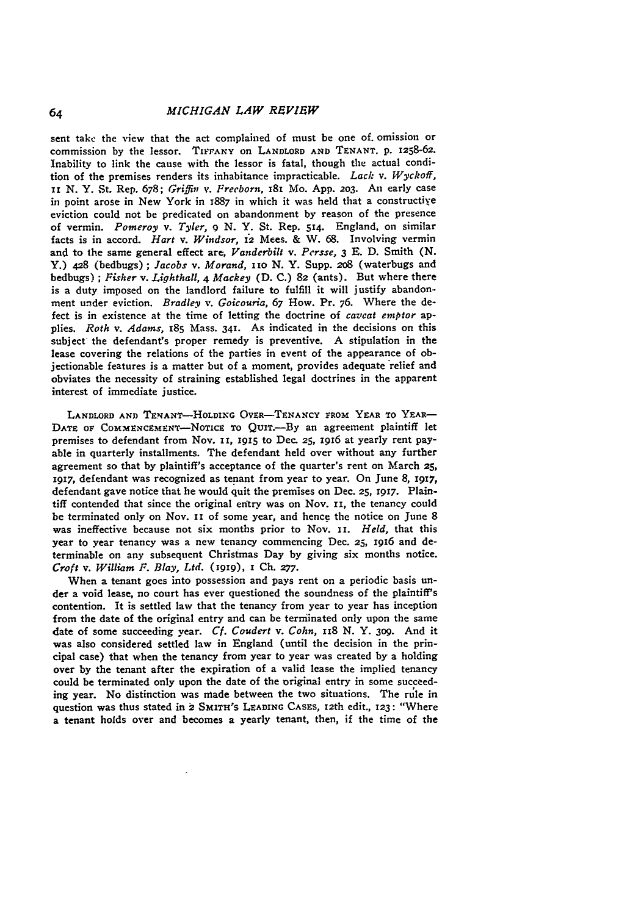#### *MICHIGAN LAW REVIEW*

sent take the view that the act complained of must be one of. omission or commission **by** the lessor. TirrANY on LANDLORD **AND** TENANT. P. **1258-62.** Inability to link the cause with the lessor is fatal, though the actual condition of the premises renders its inhabitance impracticable. *Lack v. Wyckoif,* xi N. Y. St. Rep. 678; *Griffit v. Freeborn,* x8 Mo. App. **203.** An early case in point arose in New York in **1887** in which it was held that a constructiye eviction could not be predicated on abandonment **by** reason of the presence of vermin. *Pomeroy v. Tyler,* **9** N. Y. St. Rep. 514. England, on similar facts is in accord. *Hart v. Windsor,* **1'2** Mees. & W. **68.** Involving vermin and to the same general effect are, *Vanderbilt v. Persse,* **3 E. D.** Smith **(N.** Y.) **428** (bedbugs) **;** *Jacobs v. Morand, iio* **N.** Y. Supp. *208* (waterbugs and bedbugs) **;** *Fisher v. Lighthall, 4 Mackey* **(D. C.)** 82 (ants). But where there is a duty imposed on the landlord failure to fulfill it will justify abandonment under eviction. *Bradley v. Goicouria, 67* How. Pr. **76.** Where the defect is in existence at the time of letting the doctrine of caveat *emptor* applies. *Roth v. Adams,* **I85** Mass. **341.** As indicated in the decisions on this subject' the defendant's proper remedy is preventive. **A** stipulation in the lease covering the relations of the parties in event of the appearance of objectionable features is a matter but of a moment, provides adequate relief and obviates the necessity of straining established legal doctrines in the apparent interest of immediate justice.

**LANDLORD AND TENANT-HOLDING** OVER-TENANCY **FROM** YEAR **TO** YEAR-DATE OF COMMENCEMENT-NOTICE TO QUIT.--By an agreement plaintiff let premises to defendant from Nov. ii, i915 to Dec. **25,** 1916 at yearly rent payable in quarterly installments. The defendant held over without any further agreement so that **by** plaintiff's acceptance of the quarter's rent on March **25, 1917,** defendant was recognized as tenant from year to year. On June 8, I9x7, defendant gave notice that he would quit the premises on Dec. **25, 1917.** Plaintiff contended that since the original erftry was on Nov. Ix, the tenancy could be terminated only on Nov. II of some year, and hence the notice on June 8 was ineffective because not six months prior to Nov. xi. *Held,* that this year to year tenancy was a new tenancy commencing Dec. **25,** 1916 and determinable on any subsequent Christmas Day **by** giving six months notice. Croft *v. William F. Blay, Ltd. (i919),* **x Ch. 277.**

When a tenant goes into possession and pays rent on a periodic basis under a void lease, no court has ever questioned the soundness of the plaintiff's contention. It is settled law that the tenancy from year to year has inception from the date of the original entry and can be terminated only upon the same date of some succeeding year. *Cf. Coudert v. Cohn, 118* **N. Y. 309.** And it was also considered settled law in England (until the decision in the principal case) that when the tenancy from year to year was created by a holding over by the tenant after the expiration of a valid lease the implied tenancy could be terminated only upon the date of the original entry in some succeeding year. No distinction was made between the two situations. The rule in question was thus stated in **2** SMITH'S **LEADING CASES,** 12th edit., r23: "Where a tenant holds over and becomes a yearly tenant, then, if the time of the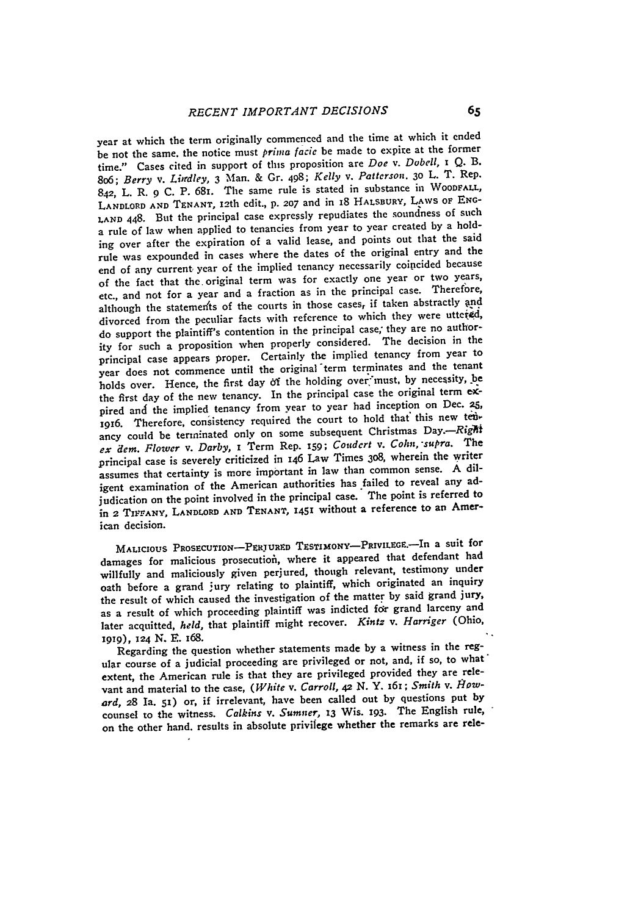бς

year at which the term originally commenced and the time at which it ended be not the same. the notice must *prima* facie be made to expire at the former time." Cases cited in support of this proposition are *Doe v. Dobell,* i **Q.** B. 8o6; *Berry v. Liirdley,* **3** Man. **& Gr.** 498; *Kelly v. Patterson.* **3o** L. T. Rep. 842, L. R. **9 C.** P. 681. The same rule is stated in substance in WOODFALL, LANDLORD **AND TENANT,** i2th edit., **p.** *207* and in **18** HALSBURY, **LAWS** OF **ENG-LAND** 448. But the principal case expressly repudiates the soundness of such a rule of law when applied to tenancies from year to year created by a holding over after the expiration of a valid lease, and points out that the said rule was expounded in cases where the dates of the original entry and the end of any current year of the implied tenancy necessarily coincided because of the fact that the.original term was for exactly one year or two years, etc., and not for a year and a fraction as in the principal case. Therefore, although the statements of the courts in those cases, if taken abstractly and divorced from the peculiar facts with reference to which they were utteted, do support the plaintiff's contention in the principal case; they are no authority for such a proposition when properly considered. The decision in the principal case appears proper. Certainly the implied tenancy from year to year does not commence until the original 'term terminates and the tenant holds over. Hence, the first day **df** the holding over'must, by necessity, be the first day of the new tenancy. In the principal case the original term **ex**pired and the implied tenancy from year to year had inception on Dec. **25,** 1916. Therefore, consistency required the court to hold that this new teuancy could be terminated only on some subsequent Christmas Day.-Right *ex dem. Flower v. Darby,* I Term Rep. x59; *Coudert v. Cohn,'supra.* The principal case is severely criticized in 146 Law Times **3o8,** wherein the writer assumes that certainty is more important in law than common sense. **A** diligent examination of the American authorities has failed to reveal any adjudication on the point involved in the principal case. The point is referred to in 2 **TiFrANY, LANDLORD** *AND* **TENANT, 1451 without** a reference to an American decision.

**MALICIOUS PROSECUTION-PERJURED TESTIMONY-PRIVILEGE.-In a suit for** damages for malicious prosecutiohi, where it appeared that defendant had willfully and maliciously given perjured, though relevant, testimony under oath before a grand jury relating to plaintiff, which originated an inquiry the result of which caused the investigation of the matter **by** said grand jury, as a result of which proceeding plaintiff was indicted for grand larceny and later acquitted, *held,* that plaintiff might recover. *Kintz v. Harriger* (Ohio, **i919), 124 N. E.** 168.

Regarding the question whether statements made **by** a witness in the regular course of a judicial proceeding are privileged or not, and, if so, to what' extent, the American rule is that they are privileged provided they are relevant and material to the case, *(White v. Carroll, 42 N.Y. 161; Smith v. Howard,* **28** Ia. **51) or,** if irrelevant, have been called out **by** questions put **by** counsel to the witness. *Calkins v. Sumner,* **13** Wis. **193.** The English rule, on the other hand. results in absolute privilege whether the remarks are rele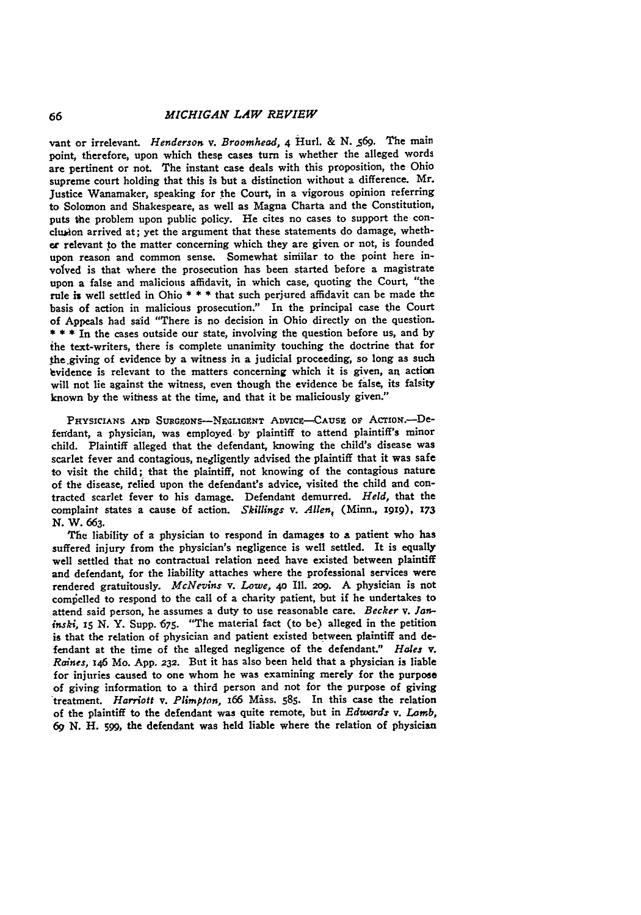vant or irrelevant. Henderson *v.* Broomhead, 4 Hurl. & **N.,569.** The main point, therefore, upon which these cases turn is whether the alleged words are pertinent or not. The instant case deals with this proposition, the Ohio supreme court holding that this is but a distinction without a difference. Mr. Justice Wanamaker, speaking for the Court, in a vigorous opinion referring to Solomon and Shakespeare, as well as Magna Charta and the Constitution, puts the problem upon public policy. He cites no cases to support the conclukon arrived at; yet the argument that these statements do damage, wheth**er** relevant **to** the matter concerning which they are given or not, is founded upon reason and common sense. Somewhat similar to the point here involved is that where the prosecution has been started before a magistrate upon a false and malicious affidavit, in which case, quoting the Court, "the rule **is** well settled in Ohio **\* \* \*** that such perjured affidavit can be made the basis of action in malicious prosecution." In the principal case the Court of Appeals had said "There is no decision in Ohio directly on the question. **\* \* \*** In the cases outside our state, involving the question before us, and **by** ihe text-writers, there is complete unanimity touching the doctrine that for the.giving of evidence **by** a witness in a judicial proceeding, so long as such tvidence is relevant to the matters concerning which it is given, an action will not lie against the witness, even though the evidence be false, its falsity known **by** the witness at the time, and that it be maliciously given."

PHYSICIANS AND SURGEONS--NEGLIGENT ADVICE-CAUSE OF ACTION.--Deferfdant, a physician, was employed **by** plaintiff to attend plaintiff's minor child. Plaintiff alleged that the defendant, knowing the child's disease was scarlet fever and contagious, negligently advised the plaintiff that it was safe to visit the child; that the plaintiff, not knowing of the contagious nature of the disease, relied upon the defendant's advice, visited the child and contracted scarlet fever to his damage. Defendant demurred. *Held,* that the complaint states a cause **bf** action. *Skillings v. Allen,* (Minn., 99ig), **<sup>173</sup> N.** W. **663.**

The liability of a physician to respond in damages to a patient who has suffered injury from the physician's negligence is well settled. It is equally well settled that no contractual relation need have existed between plaintiff and defendant, for the liability attaches where the professional services were rendered gratuitously. *McNevins v. Lowe, 40* Ill. **2o9.** A physician is not comnielled to respond to the call of a charity patient, but if he undertakes to attend said person, he assumes a duty to use reasonable care. *Becker v. Janinski, i5* **N.** Y. Supp. **1675.** "The material fact (to be) alleged in the petition is that the relation of physician and patient existed between plaintiff and defendant at the time of the alleged negligence of the defendant." *Hales v. Raines,* 146 Mo. **App. 232.** But it has also been held that a physician is liable for injuries caused to one whom he was examining merely for the purpose of giving information to a third person and not for the purpose of giving treatment. *Harviott* v. Plimpton, i66 Miss. **585.** In this case the relation of the plaintiff to the defendant was quite remote, but in *Eduards* v. *Lamb, 69* N. H. **599,** the defendant was held liable where the relation of physician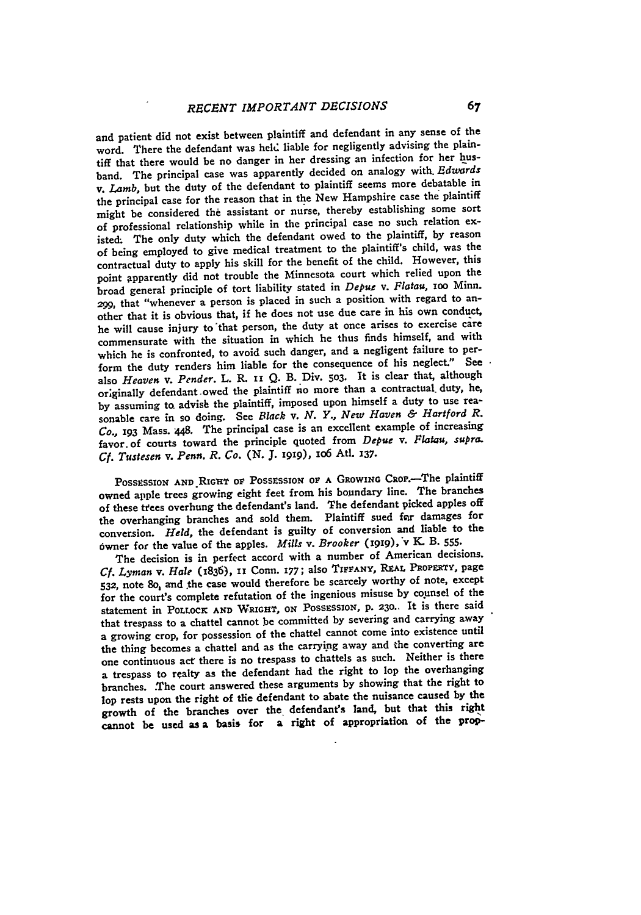and patient did not exist between plaintiff and defendant in any sense of the word. There the defendant was held liable for negligently advising the plaintiff that there would be no danger in her dressing an infection for her hus-<br>band. The principal case was apparently decided on analogy with *Edwards* band. The principal case was apparently decided on analogy with. *Edwards v. Lamb,* but the duty of the defendant to plaintiff seems more debatable in the principal case for the reason that in the New Hampshire case the plaintiff might be considered the assistant or nurse, thereby establishing some sort of professional relationship while in the principal case no such relation existed. The only duty which the defendant owed to the plaintiff, **by** reason of being employed to give medical treatment to the plaintiff's child, was the contractual duty to apply his skill for the benefit of the child. However, this point apparently did not trouble the Minnesota court which relied upon the broad general principle of tort liability stated in Depue v. Flatau, 100 Minn. 299, that "whenever a person is placed in such a position with regard to another that it is obvious that, if he does not use due care in his own conduct, he will cause injury to that person, the duty at once arises to exercise care commensurate with the situation in which he thus finds himself, and with which he is confronted, to avoid such danger, and a negligent failure to perform the duty renders him liable for the consequence of his neglect." See also *Heaven v. Pender.* L. R. **ii Q.** B. Div. **503.** It is clear that, although originally defendant.owed the plaintiff no more than a contractual, duty, he, **by** assuming to. advish the plaintiff, imposed upon himself a duty to use reasonable care in so doing. See *Black v. N. Y., New Haven & Hartford R. Co.,* **193** Mass. 448. The principal case is an excellent example of increasing favor, of courts toward the principle quoted from *Depue v. Flatau, supra. Cf. Tustesen v. Penn. R. Co.* **(N.** J. gxig), io6 AtI. **i37.**

POSSESSION AND RIGHT OF POSSESSION OF A GROWING CROP.-The plaintiff owned apple trees growing eight feet from his boundary line. The branches of these trees overhung the defendant's land. The defendant picked apples off the overhanging branches and sold them. Plaintiff sued for damages for conversion. *Held,* the defendant is guilty of conversion and liable to the owner for the value of the apples. *Mills v. Brooker* **(igx), "v** *K.* B. **555.**

The decision is in perfect accord with a number of American decisions. **Cf.** *Lyman* v. *Hale* (1836), **II** Conn. **177;** also TIFFANY, **REAL PRoPERTY, page 532,** note 8o, and .the case would therefore be scarcely worthy of note, except for the court's complete refutation of the ingenious misuse **by** counsel of the statement in **POLLOCK AND WRIGHT, ON** POSSESSION, **p. 230..** It is there said that trespass to a chattel cannot be committed **by** severing and carrying away a growing crop, for possession of the chattel cannot come into existence until the thing becomes a chattel and as the carrying away and the converting are one continuous act there is no trespass to chattels as such. Neither is there a trespass to realty as the defendant had the right to lop the overhanging branches. .The court answered these arguments **by** showing that the right to lop rests upon the right of the defendant to abate the nuisance caused **by** the growth of the branches over the, defendant's land, but that this **right** cannot be used as a basis for a right of appropriation of the **prop-**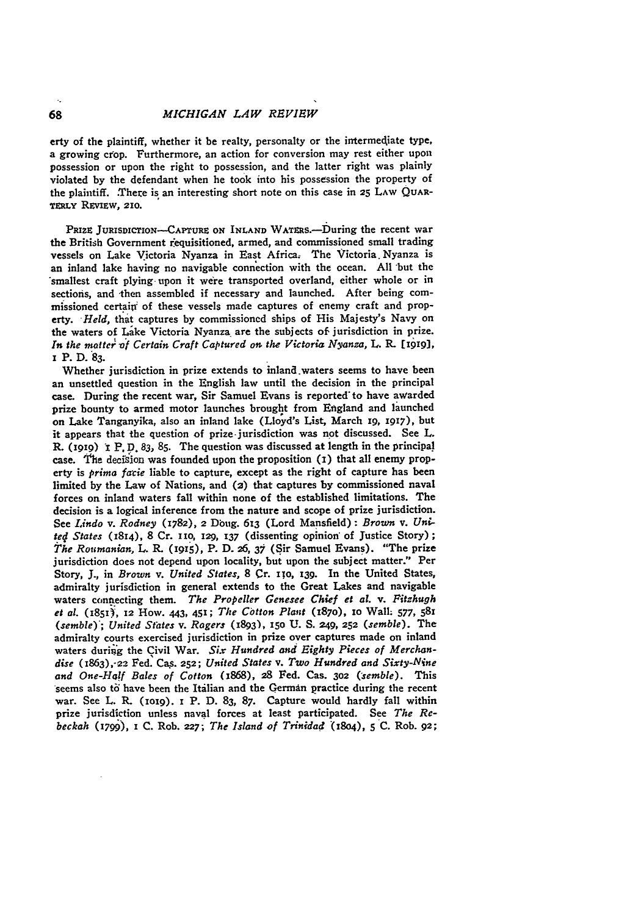### *MICHIGAN LAW REVIEW*

erty of the plaintiff, whether it be realty, personalty or the intermediate type, a growing crop. Furthermore, an action for conversion may rest either upon possession or upon the right to possession, and the latter right was plainly violated **by** the defendant when he took into his possession the property of the plaintiff. .There is an interesting short note on this case in **25 LAW QUAR-TERLY REVIEW, 210.**

PRIZE JURISDICTION-CAPTURE ON INLAND WATERS.-During the recent war the British Government requisitioned, armed, and commissioned small trading vessels on Lake Victoria Nyanza in East Africa. The Victoria. Nyanza is an inland lake having no navigable connection with the ocean. All 'but the smallest craft plying-upon it were transported overland, either whole or in sections, and then assembled if necessary and launched. After being commissioned certain of these vessels made captures of enemy craft and property. *Held,* that captures by commissioncd ships of His Majesty's Navy on the waters of Lake Victoria Nyanza are the subjects of jurisdiction in prize. *In the motter vof Certain Craft Captured on the Victoria Nyanza,* L. **R. E91], x** P. D. **83.**

Whether jurisdiction in prize extends to inland waters seems to have been an unsettled question in the English law until the decision in the principal case. During the recent war, Sir Samuel Evans is reported to have awarded prize bounty to armed motor launches brought from England and launched on Lake Tanganyika, also an inland lake (Lloyd's List, March Ig, 1917), but it appears that the question of prize jurisdiction was not discussed. See L. R. (igg) **I** P. **D.** *83,* **85.** The question was discussed at length in the principal case. The decision was founded upon the proposition (I) that all enemy property is *prima* facie liable to capture, except as the right of capture has been limited by the Law of Nations, and **(2)** that captures **by** commissioned naval forces on inland waters fall within none of the established limitations. The decision is a logical inference from the nature and scope of prize jurisdiction. See *Lindo v. Rodney* **(1782), 2** Dbug. **613** (Lord Mansfield): *Brown v. Unite4 States* (x814), 8 Cr. **i1o, 129, 137** (dissenting opinion" of Justice Story); *The Roumanian,* L. R. **(1915),** P. **D. 26,** *37* (Sir Samuel Evans). "The prize jurisdiction does not depend upon locality, but upon the subject matter." Per Story, **J.,** in *Brown v. United States,* 8 Cr. **11o, 139.** In the United States, admiralty jurisdiction in general extends to the Great Lakes and navigable waters connecting them. *The Propeller Genesee Chief et al. v. Fitzhugh et* **al. (i851),** 12 How. 443, **451;** *The Cotton Plant* (x87o), **1o** Wall; 577, **<sup>581</sup>** *(semble); United States v. Rogers* (1893), **150** U. **S.** 249, **252** *(semble).* The admiralty courts exercised jurisdiction in prize over captures made on inland waters during the Civil War. Six Hundred and Eighty Pieces of Merchan*dise* (863),--22 Fed. **Cas. 252;** *United States V. Two Hundred and Sixty-Nine and One-Half Bales of Cotton* (i868), **28** Fed. Cas. **302** *( semble).* This seems also *tai* have been the Itilian and the Germi.n practice during the recent war. See L. R. **(1o19). I** P. **D.** 83, **87.** Capture would hardly fall within prize jurisdiction unless naval forces at least participated. See *The Rebeckah* **(1799), i C.** Rob. **227;** *The Island of Trinidad* (184), **5 'C.** Rob. **92;**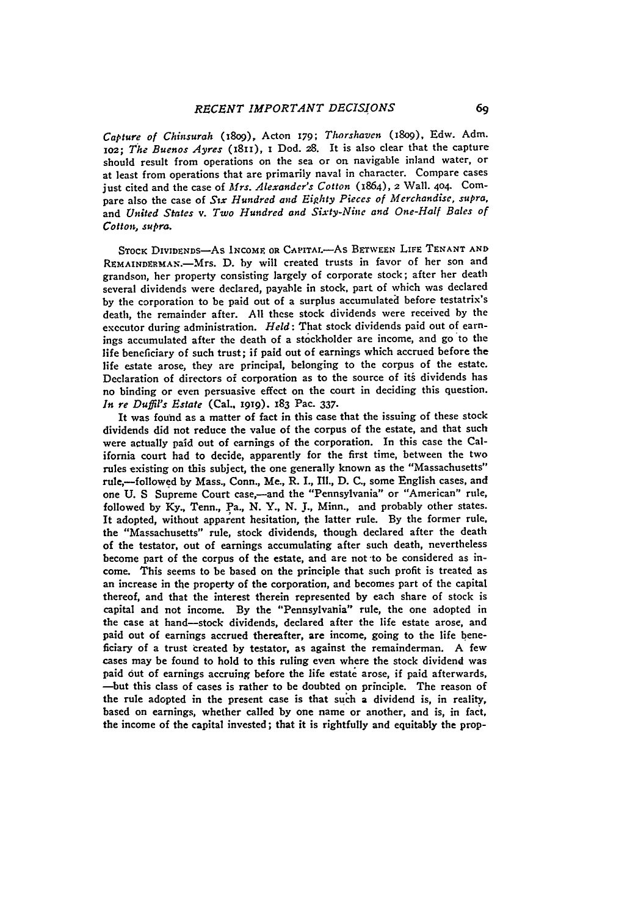*Capture of Chinsurah* (i8o9), Acton **179;** *Tlhrshavcn* (x8og), Edw. Adm. xo2; *The Buenos Ayres* (x81), 1 Dod. **28.** It is also clear that the capture should result from operations on the sea or on navigable inland water, or at least from operations that are primarily naval in character. Compare cases just cited and the case of *Mrs. Alexandcr's Cotton* (x864), 2 Wall. 404. Compare also the case of *Six Hundred and Eighty Pieces of Merchandise, supra,* and *United States v. Two Hundred and Sixty-Nine and One-Half Bales of Cotton, supra.*

STOCK DIVIDENDS-AS INCOME OR CAPITAL-AS BETWEEN LIFE TENANT AND REMAINDERMAN.-Mrs. D. by will created trusts in favor of her son and grandson, her property consisting largely of corporate stock; after her death several dividends were declared, payable in stock, part of which was declared by the corporation to be paid out of a surplus accumulated before testatrix's death, the remainder after. **All** these stock dividends were received by the executor during administration. *Held:* That stock dividends paid out of earnings accumulated after the death of a stockholder are income, and go to the life beneficiary of such trust; if paid out of earnings which accrued before the life estate arose, they are principal, belonging to the corpus of the estate. Declaration of directors of corporation as to the source of its dividends has no binding or even persuasive effect on the court in deciding this question. *In re Duffil's Estate* (Cal., i919). 183 Pac. 337.

It was found as a matter of fact in this case that the issuing of these stock dividends did not reduce the value of the corpus of the estate, and that such were actually paid out of earnings of the corporation. In this case the California court had to decide, apparently for the first time, between the two rules existing on this subject, the one generally known as the "Massachusetts" rule,-followed by Mass., Conn., Me., R. I., Ill., D. C., some English cases, and one U. S Supreme Court case,-and the "Pennsylvania" or "American" rule, followed by Ky., Tenn., Pa., **N.** Y., N. *J.,* Minn., and probably other states. It adopted, without apparent hesitation, the latter rule. By the former rule. the "Massachusetts" rule, stock dividends, though declared after the death of the testator, out of earnings accumulating after such death, nevertheless become part of the corpus of the estate, and are not-to be considered as income. This seems to be based on the principle that such profit is treated as an increase in the property of the corporation, and becomes part of the capital thereof, and that the interest therein represented by each share of stock is capital and not income. By the "Pennsylvania" rule, the one adopted in the case at hand-stock dividends, declared after the life estate arose, and paid out of earnings accrued thereafter, are income, going to the life beneficiary of a trust created by testator, as against the remainderman. A few cases may be found to hold to this ruling even where the stock dividend was paid out of earnings accruing before the life estate arose, if paid afterwards, -but this class of cases is rather to be doubted on principle. The reason of the rule adopted in the present case is that such a dividend is, in reality, based on earnings, whether called by one name or another, and is, in fact, the income of the capital invested; that it is rightfully and equitably the prop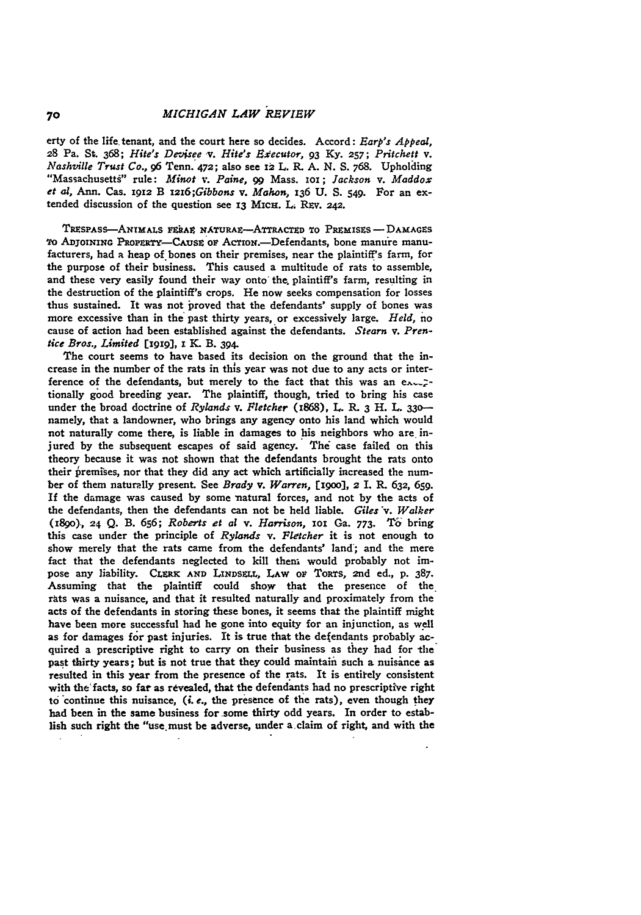erty of the life tenant, and the court here so decides. Accord: *Earp's Appeal,* **28** Pa. St. 368; *Hite's Dezsee v. Hite's 9recutor,* **93** Ky. **257;** *Pritchett v. Nashville Trust Co., 96* Tenn. 472; also see *i2* L. R. A. N. S. 768. Upholding "Massachusetts" rule: *Minot v. Paine*, 99 Mass. 101; Jackson v. Maddox *et a,* Ann. Cas. **1912** B *Wxz6;Gibbons v. Mahon,* **136** U. S. **549.** For an extended discussion of the question see **z3** MicH. L; Rzv. **242.**

TRESPASS-ANiMALS **FZAP** NATURAE-ATTRACTUD **TO** PRzMIsrs - **DAMAGES To** ADJOININ **PROPRTY-CAusE** or AcrioN.-Defendants, bone manure manufacturers, had a heap of bones on their premises, near the plaintiff's farm, for the purpose of their business. This caused a multitude of rats to assemble, and these very easily found their way onto the. plaintiff's farm, resulting in the destruction of the plaintiff's crops. He now seeks compensation for losses thus sustained. It was not proved that the defendants' supply of bones was more excessive than in the past thirty years, or excessively large. *Held,* no cause of action had been established against the defendants. *Steam v. Prentice Bros., Limited* [1919], *I K. B. 394.* 

The court seems to have based its decision on the ground that the increase in the number of the rats in this year was not due to any acts or interference of the defendants, but merely to the fact that this was an ex- $\mathbb{R}^2$ tionally good breeding year. The plaintiff, though, tried to bring his case under the broad doctrine of *Rylands v. Fletcher* (1868), L. R. 3 H. L. 33onamely, that a landowner, who brings any agency onto his land which would not naturally come there, is liable in damages to his neighbors who are injured **by** the subsequent escapes of said agency. The case failed on this theory because it was not shown that the defendants brought the rats onto their premises, nor that they did any act which artificially increased the number of them naturAlly present. See *Brady v. Warren,* **[1900], 2** I. *R.* **632, 659.** If the damage was caused **by** some matural forces, and not **by** the acts of the defendants, then the defendants can not be held liable. *Giles v. Walker (18W0),* **24 Q.** B. **656;** *Roberts et al v. Harrison,* **1o** Ga. **773.** Tb& bring this case under the principle of *Rylands v. Fletcher* it is not enough to show merely that the rats came from the defendants' land; and the mere fact that the defendants neglected to kill them. would probably not impose any liability. CLERK AND LINDSELL, LAW OF TORTS, 2nd ed., p. 387. Assuming that the plaintiff could show that the presence of the rats was a nuisance, and that it resulted naturally and proximately from the acts of the defendants in storing these bones, it seems that the plaintiff might have been more successful had he gone into equity for an injunction, as well **as** for damages for past injuries. It is true that the defendants probably **ac**quired a prescriptive right to carry on their business as they had for the past thirty years; but is not true that they could maintain such a nuisance as resulted in this year from the presence of the rats. It is entirely consistent with the'facts, so far as revealed, that the defendants had no prescriptive right to 'continue this nuisance, *(i. e.,* the presence of the rats), even though they had been in the same business for some thirty odd years. In order to establish such right the "use must be adverse, under a claim of right, and with the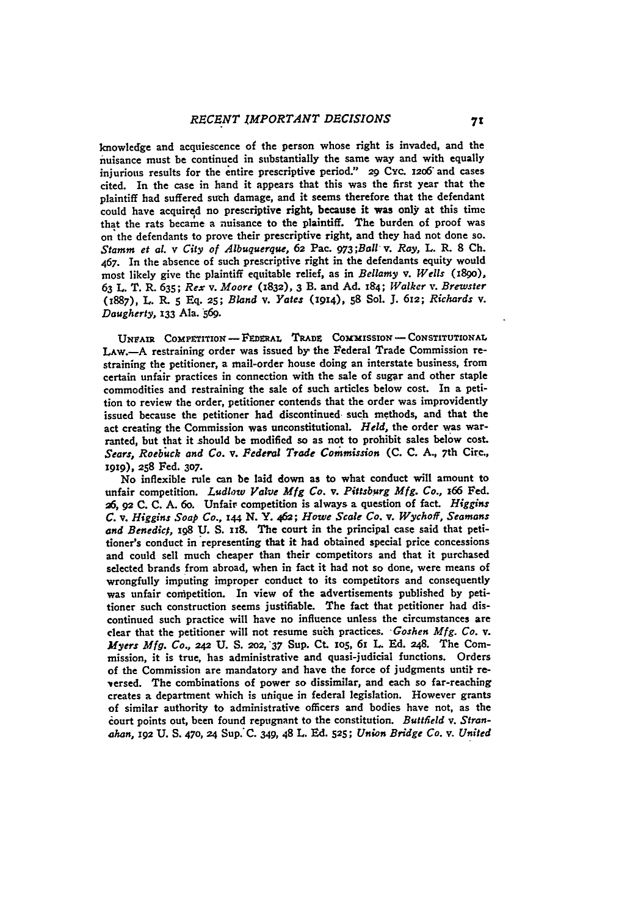knowledge and acquiescence of the person whose right is invaded, and the nuisance must be continued in substantially the same way and with equally injurious results for the entire prescriptive period." **29** CYc. **12o6** and cases cited. In the case in hand it appears that this was the first year that the plaintiff had suffered such damage, and it seems therefore that the defendant could have acquired no prescriptive right, because it was only at this time that the rats became a nuisance to the plaintiff. The burden of proof was on the defendants to prove their prescriptive right, and they had not done so. *Stamm et* **al.** v *City of Albuquerque, 62* Pac. 973 *;Ball v. Ray,* L. R. 8 **Ch.** 467. In the absence of such prescriptive right in the defendants equity would most likely give the plaintiff equitable relief, as in *Bellamy v. Wells (i8go),* **63** L. T. R. **635;** *Rex v. Moore* (1832), **3** B. and **Ad.** 184; *Walker v. Brewster* **(1887),** L. R. **5 Eq. 25;** *Bland v. Yates* (1914), **58** Sol. **J.** *612; Richards v. Daugherty,* **133** Ala. 569.

**UNFAIR COMPtTITIoN--FZDZRAL** TRADE **COMnISSIoN - CONSTITUTIONAL** LAw.-A restraining order was issued **by** the Federal Trade Commission restraining the petitioner, a mail-order house doing an interstate business, from certain unfair practices in connection with the sale of sugar and other staple commodities and restraining the sale of such articles below cost. In a petition to review the order, petitioner contends that the order was improvidently issued because the petitioner had discontinued such methods, and that the act creating the Commission was unconstitutional. *Held,* the order was warranted, but that it should be modified so as not to prohibit sales below cost. *Sears, Roebuck and Co. v. Federal Trade Commission* **(C. C. A,** 7th Circ., **1919), 258** Fed. **3o7.**

No inflexible rule can be laid down as to what conduct will amount to unfair competition. *Ludlow Valve Mfg Co. v. Pittsburg Mfg. Co.,* **x66** Fed. **26, 92 C. C. A.** 6o. Unfair competition is always a question of fact. *Higgins C. v. Higgins Soap Co.,* **x44** *N.* Y. 462; *Howe Scale Co. v. Wychoif, Seamans and Benedict,* **x98** U. **S.** ii8. The court in the principal case said that petitioner's conduct in representing that it had obtained special price concessions and could sell much cheaper than their competitors and that it purchased selected brands from abroad, when in fact it had not so done, were means of wrongfully imputing improper conduct to its competitors and consequently was unfair competition. In view of the advertisements published **by** petitioner such construction seems justifiable. The fact that petitioner had discontinued such practice will have no influence unless the circumstances are clear that the petitioner will not resume suh practices. *-Goshen Mfg. Co. v. Myers Mfg. Co.,* **242 U. S. 202, 37** Sup. **Ct.** io5, **61 L. Ed.** 248. The Commission, it is true, has administrative and quasi-judicial functions. Orders of the Commission are mandatory and have the force of judgments until reversed. The combinations of power so dissimilar, and each so far-reaching creates a department which is unique in federal legislation. However grants of similar authority to administrative officers and bodies have not, as the court points out, been found repugnant to the constitution. *Buttfield v. Stran-4han,* **192 U. S. 470,** 24 Sup." C. 349, 48 L. **Ed.** 525; *Union Bridge Co. v. United*